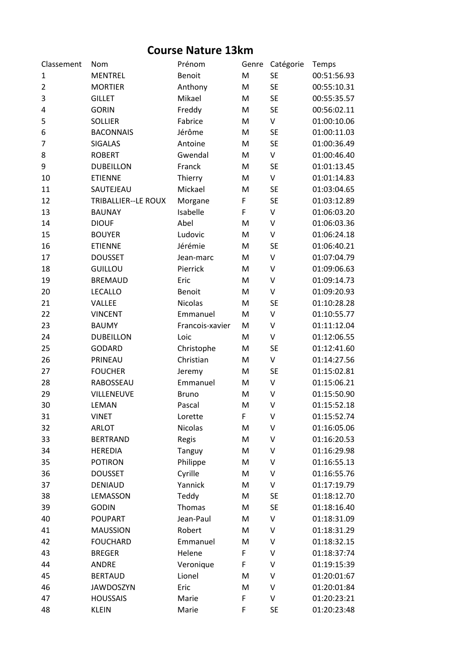## **Course Nature 13km**

| Classement     | Nom                        | Prénom          | Genre | Catégorie | Temps       |
|----------------|----------------------------|-----------------|-------|-----------|-------------|
| 1              | <b>MENTREL</b>             | Benoit          | M     | <b>SE</b> | 00:51:56.93 |
| $\overline{2}$ | <b>MORTIER</b>             | Anthony         | M     | <b>SE</b> | 00:55:10.31 |
| 3              | <b>GILLET</b>              | Mikael          | M     | <b>SE</b> | 00:55:35.57 |
| 4              | <b>GORIN</b>               | Freddy          | M     | <b>SE</b> | 00:56:02.11 |
| 5              | <b>SOLLIER</b>             | Fabrice         | M     | V         | 01:00:10.06 |
| 6              | <b>BACONNAIS</b>           | Jérôme          | M     | <b>SE</b> | 01:00:11.03 |
| 7              | <b>SIGALAS</b>             | Antoine         | M     | <b>SE</b> | 01:00:36.49 |
| 8              | <b>ROBERT</b>              | Gwendal         | M     | V         | 01:00:46.40 |
| 9              | <b>DUBEILLON</b>           | Franck          | M     | <b>SE</b> | 01:01:13.45 |
| 10             | <b>ETIENNE</b>             | Thierry         | M     | V         | 01:01:14.83 |
| 11             | SAUTEJEAU                  | Mickael         | M     | <b>SE</b> | 01:03:04.65 |
| 12             | <b>TRIBALLIER--LE ROUX</b> | Morgane         | F     | <b>SE</b> | 01:03:12.89 |
| 13             | <b>BAUNAY</b>              | Isabelle        | F     | V         | 01:06:03.20 |
| 14             | <b>DIOUF</b>               | Abel            | M     | $\vee$    | 01:06:03.36 |
| 15             | <b>BOUYER</b>              | Ludovic         | M     | V         | 01:06:24.18 |
| 16             | <b>ETIENNE</b>             | Jérémie         | M     | <b>SE</b> | 01:06:40.21 |
| 17             | <b>DOUSSET</b>             | Jean-marc       | M     | V         | 01:07:04.79 |
| 18             | <b>GUILLOU</b>             | Pierrick        | M     | V         | 01:09:06.63 |
| 19             | <b>BREMAUD</b>             | Eric            | M     | V         | 01:09:14.73 |
| 20             | <b>LECALLO</b>             | Benoit          | M     | V         | 01:09:20.93 |
| 21             | VALLEE                     | <b>Nicolas</b>  | M     | <b>SE</b> | 01:10:28.28 |
| 22             | <b>VINCENT</b>             | Emmanuel        | M     | $\sf V$   | 01:10:55.77 |
| 23             | <b>BAUMY</b>               | Francois-xavier | M     | V         | 01:11:12.04 |
| 24             | <b>DUBEILLON</b>           | Loic            | M     | V         | 01:12:06.55 |
| 25             | <b>GODARD</b>              | Christophe      | M     | <b>SE</b> | 01:12:41.60 |
| 26             | PRINEAU                    | Christian       | M     | V         | 01:14:27.56 |
| 27             | <b>FOUCHER</b>             | Jeremy          | M     | <b>SE</b> | 01:15:02.81 |
| 28             | RABOSSEAU                  | Emmanuel        | M     | V         | 01:15:06.21 |
| 29             | VILLENEUVE                 | <b>Bruno</b>    | M     | $\vee$    | 01:15:50.90 |
| 30             | LEMAN                      | Pascal          | M     | V         | 01:15:52.18 |
| 31             | <b>VINET</b>               | Lorette         | F     | V         | 01:15:52.74 |
| 32             | <b>ARLOT</b>               | <b>Nicolas</b>  | M     | V         | 01:16:05.06 |
| 33             | <b>BERTRAND</b>            | Regis           | M     | V         | 01:16:20.53 |
| 34             | <b>HEREDIA</b>             | Tanguy          | M     | V         | 01:16:29.98 |
| 35             | <b>POTIRON</b>             | Philippe        | M     | V         | 01:16:55.13 |
| 36             | <b>DOUSSET</b>             | Cyrille         | M     | V         | 01:16:55.76 |
| 37             | <b>DENIAUD</b>             | Yannick         | M     | V         | 01:17:19.79 |
| 38             | LEMASSON                   | Teddy           | M     | <b>SE</b> | 01:18:12.70 |
| 39             | <b>GODIN</b>               | Thomas          | M     | <b>SE</b> | 01:18:16.40 |
| 40             | <b>POUPART</b>             | Jean-Paul       | M     | V         | 01:18:31.09 |
| 41             | <b>MAUSSION</b>            | Robert          | M     | V         | 01:18:31.29 |
| 42             | <b>FOUCHARD</b>            | Emmanuel        | M     | V         | 01:18:32.15 |
| 43             | <b>BREGER</b>              | Helene          | F     | V         | 01:18:37:74 |
| 44             | <b>ANDRE</b>               | Veronique       | F     | V         | 01:19:15:39 |
| 45             | <b>BERTAUD</b>             | Lionel          | M     | V         | 01:20:01:67 |
| 46             | <b>JAWDOSZYN</b>           | Eric            | M     | V         | 01:20:01:84 |
| 47             | <b>HOUSSAIS</b>            | Marie           | F     | V         | 01:20:23:21 |
| 48             | <b>KLEIN</b>               | Marie           | F     | <b>SE</b> | 01:20:23:48 |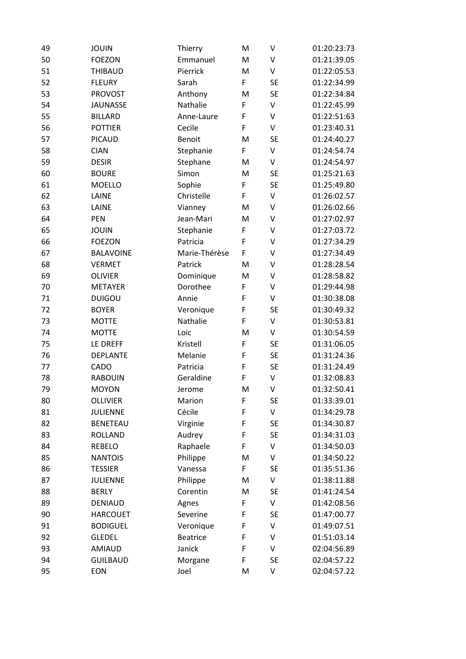| 49 | <b>JOUIN</b>     | Thierry         | M | V         | 01:20:23:73 |
|----|------------------|-----------------|---|-----------|-------------|
| 50 | <b>FOEZON</b>    | Emmanuel        | M | V         | 01:21:39.05 |
| 51 | <b>THIBAUD</b>   | Pierrick        | M | V         | 01:22:05.53 |
| 52 | <b>FLEURY</b>    | Sarah           | F | <b>SE</b> | 01:22:34.99 |
| 53 | <b>PROVOST</b>   | Anthony         | M | <b>SE</b> | 01:22:34:84 |
| 54 | <b>JAUNASSE</b>  | Nathalie        | F | V         | 01:22:45.99 |
| 55 | <b>BILLARD</b>   | Anne-Laure      | F | V         | 01:22:51:63 |
| 56 | <b>POTTIER</b>   | Cecile          | F | V         | 01:23:40.31 |
| 57 | <b>PICAUD</b>    | Benoit          | M | <b>SE</b> | 01:24:40.27 |
| 58 | <b>CIAN</b>      | Stephanie       | F | V         | 01:24:54.74 |
| 59 | <b>DESIR</b>     | Stephane        | M | V         | 01:24:54.97 |
| 60 | <b>BOURE</b>     | Simon           | M | <b>SE</b> | 01:25:21.63 |
| 61 | <b>MOELLO</b>    | Sophie          | F | <b>SE</b> | 01:25:49.80 |
| 62 | LAINE            | Christelle      | F | V         | 01:26:02.57 |
| 63 | LAINE            | Vianney         | M | V         | 01:26:02.66 |
| 64 | PEN              | Jean-Mari       | M | V         | 01:27:02.97 |
| 65 | <b>JOUIN</b>     | Stephanie       | F | V         | 01:27:03.72 |
| 66 | <b>FOEZON</b>    | Patricia        | F | V         | 01:27:34.29 |
| 67 | <b>BALAVOINE</b> | Marie-Thérèse   | F | V         | 01:27:34.49 |
| 68 | <b>VERMET</b>    | Patrick         | M | V         | 01:28:28.54 |
| 69 | <b>OLIVIER</b>   | Dominique       | M | V         | 01:28:58.82 |
| 70 | <b>METAYER</b>   | Dorothee        | F | V         | 01:29:44.98 |
| 71 | <b>DUIGOU</b>    | Annie           | F | V         | 01:30:38.08 |
| 72 | <b>BOYER</b>     | Veronique       | F | <b>SE</b> | 01:30:49.32 |
| 73 | <b>MOTTE</b>     | Nathalie        | F | V         | 01:30:53.81 |
| 74 | <b>MOTTE</b>     | Loic            | M | V         | 01:30:54.59 |
| 75 | LE DREFF         | Kristell        | F | <b>SE</b> | 01:31:06.05 |
| 76 | <b>DEPLANTE</b>  | Melanie         | F | <b>SE</b> | 01:31:24.36 |
| 77 | CADO             | Patricia        | F | <b>SE</b> | 01:31:24.49 |
| 78 | <b>RABOUIN</b>   | Geraldine       | F | V         | 01:32:08.83 |
| 79 | <b>MOYON</b>     | Jerome          | M | V         | 01:32:50.41 |
| 80 | <b>OLLIVIER</b>  | Marion          | F | <b>SE</b> | 01:33:39.01 |
| 81 | <b>JULIENNE</b>  | Cécile          | F | V         | 01:34:29.78 |
| 82 | <b>BENETEAU</b>  | Virginie        | F | <b>SE</b> | 01:34:30.87 |
| 83 | <b>ROLLAND</b>   | Audrey          | F | <b>SE</b> | 01:34:31.03 |
| 84 | REBELO           | Raphaele        | F | V         | 01:34:50.03 |
| 85 | <b>NANTOIS</b>   | Philippe        | M | V         | 01:34:50.22 |
| 86 | <b>TESSIER</b>   | Vanessa         | F | <b>SE</b> | 01:35:51.36 |
| 87 | <b>JULIENNE</b>  | Philippe        | M | V         | 01:38:11.88 |
| 88 | <b>BERLY</b>     | Corentin        | M | <b>SE</b> | 01:41:24.54 |
| 89 | <b>DENIAUD</b>   | Agnes           | F | V         | 01:42:08.56 |
| 90 | <b>HARCOUET</b>  | Severine        | F | <b>SE</b> | 01:47:00.77 |
| 91 | <b>BODIGUEL</b>  | Veronique       | F | V         | 01:49:07.51 |
| 92 | <b>GLEDEL</b>    | <b>Beatrice</b> | F | V         | 01:51:03.14 |
| 93 | <b>AMIAUD</b>    | Janick          | F | V         | 02:04:56.89 |
| 94 | <b>GUILBAUD</b>  | Morgane         | F | <b>SE</b> | 02:04:57.22 |
| 95 | EON              | Joel            | M | V         | 02:04:57.22 |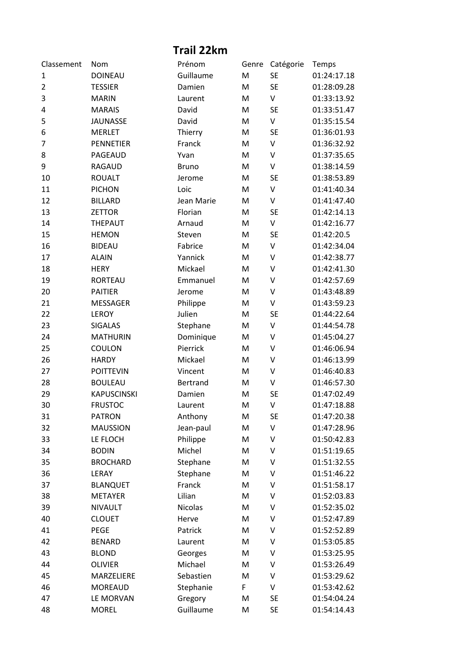## **Trail 22km**

| Classement     | Nom                | Prénom          | Genre | Catégorie    | Temps       |
|----------------|--------------------|-----------------|-------|--------------|-------------|
| 1              | <b>DOINEAU</b>     | Guillaume       | M     | <b>SE</b>    | 01:24:17.18 |
| $\overline{2}$ | <b>TESSIER</b>     | Damien          | M     | <b>SE</b>    | 01:28:09.28 |
| 3              | <b>MARIN</b>       | Laurent         | M     | V            | 01:33:13.92 |
| 4              | <b>MARAIS</b>      | David           | M     | <b>SE</b>    | 01:33:51.47 |
| 5              | <b>JAUNASSE</b>    | David           | M     | V            | 01:35:15.54 |
| 6              | <b>MERLET</b>      | Thierry         | M     | <b>SE</b>    | 01:36:01.93 |
| 7              | <b>PENNETIER</b>   | Franck          | M     | $\sf V$      | 01:36:32.92 |
| 8              | PAGEAUD            | Yvan            | M     | $\vee$       | 01:37:35.65 |
| 9              | <b>RAGAUD</b>      | <b>Bruno</b>    | M     | $\sf V$      | 01:38:14.59 |
| 10             | <b>ROUALT</b>      | Jerome          | M     | <b>SE</b>    | 01:38:53.89 |
| 11             | <b>PICHON</b>      | Loic            | M     | $\vee$       | 01:41:40.34 |
| 12             | <b>BILLARD</b>     | Jean Marie      | M     | $\sf V$      | 01:41:47.40 |
| 13             | <b>ZETTOR</b>      | Florian         | M     | <b>SE</b>    | 01:42:14.13 |
| 14             | <b>THEPAUT</b>     | Arnaud          | M     | $\mathsf{V}$ | 01:42:16.77 |
| 15             | <b>HEMON</b>       | Steven          | M     | <b>SE</b>    | 01:42:20.5  |
| 16             | <b>BIDEAU</b>      | Fabrice         | M     | $\sf V$      | 01:42:34.04 |
| 17             | <b>ALAIN</b>       | Yannick         | M     | V            | 01:42:38.77 |
| 18             | <b>HERY</b>        | Mickael         | M     | $\vee$       | 01:42:41.30 |
| 19             | <b>RORTEAU</b>     | Emmanuel        | M     | $\sf V$      | 01:42:57.69 |
| 20             | <b>PAITIER</b>     | Jerome          | M     | V            | 01:43:48.89 |
| 21             | MESSAGER           | Philippe        | M     | V            | 01:43:59.23 |
| 22             | LEROY              | Julien          | M     | <b>SE</b>    | 01:44:22.64 |
| 23             | <b>SIGALAS</b>     | Stephane        | M     | $\vee$       | 01:44:54.78 |
| 24             | <b>MATHURIN</b>    | Dominique       | M     | $\sf V$      | 01:45:04.27 |
| 25             | COULON             | Pierrick        | M     | V            | 01:46:06.94 |
| 26             | <b>HARDY</b>       | Mickael         | M     | V            | 01:46:13.99 |
| 27             | <b>POITTEVIN</b>   | Vincent         | M     | V            | 01:46:40.83 |
| 28             | <b>BOULEAU</b>     | <b>Bertrand</b> | M     | $\sf V$      | 01:46:57.30 |
| 29             | <b>KAPUSCINSKI</b> | Damien          | M     | <b>SE</b>    | 01:47:02.49 |
| 30             | <b>FRUSTOC</b>     | Laurent         | M     | V            | 01:47:18.88 |
| 31             | <b>PATRON</b>      | Anthony         | M     | <b>SE</b>    | 01:47:20.38 |
| 32             | <b>MAUSSION</b>    | Jean-paul       | M     | V            | 01:47:28.96 |
| 33             | LE FLOCH           | Philippe        | M     | V            | 01:50:42.83 |
| 34             | <b>BODIN</b>       | Michel          | M     | V            | 01:51:19.65 |
| 35             | <b>BROCHARD</b>    | Stephane        | M     | V            | 01:51:32.55 |
| 36             | LERAY              | Stephane        | M     | V            | 01:51:46.22 |
| 37             | <b>BLANQUET</b>    | Franck          | M     | V            | 01:51:58.17 |
| 38             | <b>METAYER</b>     | Lilian          | M     | V            | 01:52:03.83 |
| 39             | <b>NIVAULT</b>     | <b>Nicolas</b>  | M     | V            | 01:52:35.02 |
| 40             | <b>CLOUET</b>      | Herve           | M     | V            | 01:52:47.89 |
| 41             | PEGE               | Patrick         | M     | V            | 01:52:52.89 |
| 42             | <b>BENARD</b>      | Laurent         | M     | V            | 01:53:05.85 |
| 43             | <b>BLOND</b>       | Georges         | M     | V            | 01:53:25.95 |
| 44             | <b>OLIVIER</b>     | Michael         | M     | V            | 01:53:26.49 |
| 45             | MARZELIERE         | Sebastien       | M     | V            | 01:53:29.62 |
| 46             | <b>MOREAUD</b>     | Stephanie       | F     | V            | 01:53:42.62 |
| 47             | LE MORVAN          | Gregory         | M     | <b>SE</b>    | 01:54:04.24 |
| 48             | <b>MOREL</b>       | Guillaume       | M     | <b>SE</b>    | 01:54:14.43 |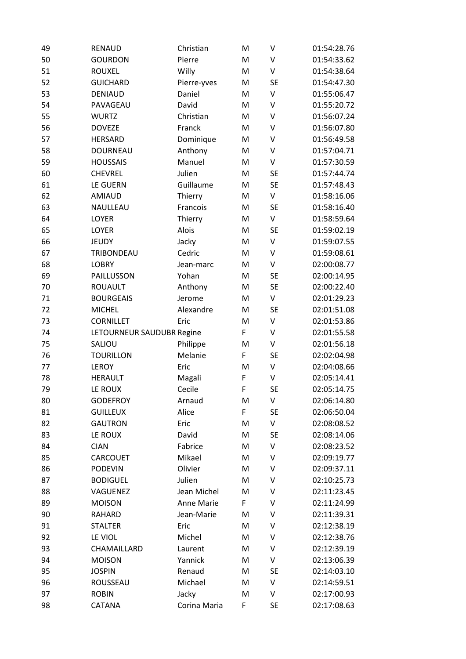| 49 | <b>RENAUD</b>             | Christian    | M | V         | 01:54:28.76 |
|----|---------------------------|--------------|---|-----------|-------------|
| 50 | <b>GOURDON</b>            | Pierre       | M | V         | 01:54:33.62 |
| 51 | <b>ROUXEL</b>             | Willy        | M | V         | 01:54:38.64 |
| 52 | <b>GUICHARD</b>           | Pierre-yves  | M | <b>SE</b> | 01:54:47.30 |
| 53 | <b>DENIAUD</b>            | Daniel       | M | $\vee$    | 01:55:06.47 |
| 54 | PAVAGEAU                  | David        | M | V         | 01:55:20.72 |
| 55 | <b>WURTZ</b>              | Christian    | M | V         | 01:56:07.24 |
| 56 | <b>DOVEZE</b>             | Franck       | M | V         | 01:56:07.80 |
| 57 | <b>HERSARD</b>            | Dominique    | M | V         | 01:56:49.58 |
| 58 | <b>DOURNEAU</b>           | Anthony      | M | $\vee$    | 01:57:04.71 |
| 59 | <b>HOUSSAIS</b>           | Manuel       | M | V         | 01:57:30.59 |
| 60 | <b>CHEVREL</b>            | Julien       | M | <b>SE</b> | 01:57:44.74 |
| 61 | <b>LE GUERN</b>           | Guillaume    | M | <b>SE</b> | 01:57:48.43 |
| 62 | <b>AMIAUD</b>             | Thierry      | M | V         | 01:58:16.06 |
| 63 | NAULLEAU                  | Francois     | M | <b>SE</b> | 01:58:16.40 |
| 64 | LOYER                     | Thierry      | M | V         | 01:58:59.64 |
| 65 | LOYER                     | Alois        | M | <b>SE</b> | 01:59:02.19 |
| 66 | <b>JEUDY</b>              | Jacky        | M | V         | 01:59:07.55 |
| 67 | TRIBONDEAU                | Cedric       | M | $\vee$    | 01:59:08.61 |
| 68 | <b>LOBRY</b>              | Jean-marc    | M | $\sf V$   | 02:00:08.77 |
| 69 | PAILLUSSON                | Yohan        | M | <b>SE</b> | 02:00:14.95 |
| 70 | <b>ROUAULT</b>            | Anthony      | M | <b>SE</b> | 02:00:22.40 |
| 71 | <b>BOURGEAIS</b>          | Jerome       | M | V         | 02:01:29.23 |
| 72 | <b>MICHEL</b>             | Alexandre    | M | <b>SE</b> | 02:01:51.08 |
| 73 | <b>CORNILLET</b>          | Eric         | M | V         | 02:01:53.86 |
| 74 | LETOURNEUR SAUDUBR Regine |              | F | V         | 02:01:55.58 |
| 75 | SALIOU                    | Philippe     | M | V         | 02:01:56.18 |
| 76 | <b>TOURILLON</b>          | Melanie      | F | <b>SE</b> | 02:02:04.98 |
| 77 | <b>LEROY</b>              | Eric         | M | $\vee$    | 02:04:08.66 |
| 78 | <b>HERAULT</b>            | Magali       | F | $\vee$    | 02:05:14.41 |
| 79 | LE ROUX                   | Cecile       | F | <b>SE</b> | 02:05:14.75 |
| 80 | <b>GODEFROY</b>           | Arnaud       | M | V         | 02:06:14.80 |
| 81 | <b>GUILLEUX</b>           | Alice        | F | <b>SE</b> | 02:06:50.04 |
| 82 | <b>GAUTRON</b>            | Eric         | M | V         | 02:08:08.52 |
| 83 | LE ROUX                   | David        | M | <b>SE</b> | 02:08:14.06 |
| 84 | <b>CIAN</b>               | Fabrice      | M | V         | 02:08:23.52 |
| 85 | CARCOUET                  | Mikael       | M | V         | 02:09:19.77 |
| 86 | <b>PODEVIN</b>            | Olivier      | M | V         | 02:09:37.11 |
| 87 | <b>BODIGUEL</b>           | Julien       | M | V         | 02:10:25.73 |
| 88 | VAGUENEZ                  | Jean Michel  | M | V         | 02:11:23.45 |
| 89 | <b>MOISON</b>             | Anne Marie   | F | V         | 02:11:24.99 |
| 90 | <b>RAHARD</b>             | Jean-Marie   | M | V         | 02:11:39.31 |
| 91 | <b>STALTER</b>            | Eric         | M | V         | 02:12:38.19 |
| 92 | LE VIOL                   | Michel       | M | V         | 02:12:38.76 |
| 93 | CHAMAILLARD               | Laurent      | M | V         | 02:12:39.19 |
| 94 | <b>MOISON</b>             | Yannick      | M | V         | 02:13:06.39 |
| 95 | <b>JOSPIN</b>             | Renaud       | M | <b>SE</b> | 02:14:03.10 |
| 96 | ROUSSEAU                  | Michael      | M | $\sf V$   | 02:14:59.51 |
| 97 | <b>ROBIN</b>              | Jacky        | M | V         | 02:17:00.93 |
| 98 | CATANA                    | Corina Maria | F | <b>SE</b> | 02:17:08.63 |
|    |                           |              |   |           |             |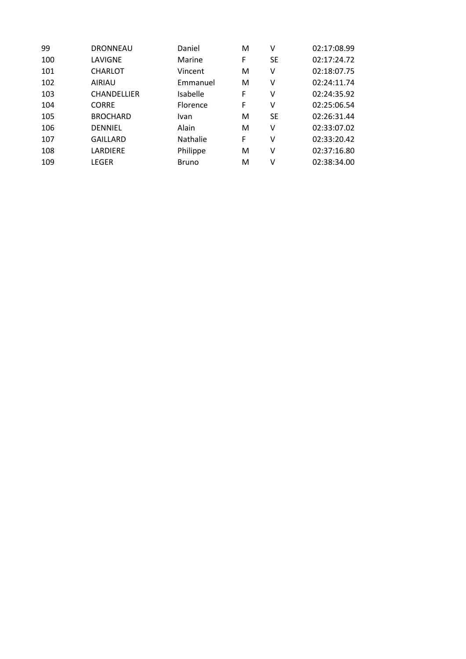| 99  | <b>DRONNEAU</b>    | Daniel          | M | ٧         | 02:17:08.99 |
|-----|--------------------|-----------------|---|-----------|-------------|
| 100 | LAVIGNE            | Marine          | F | <b>SE</b> | 02:17:24.72 |
| 101 | <b>CHARLOT</b>     | Vincent         | м | ۷         | 02:18:07.75 |
| 102 | <b>AIRIAU</b>      | Emmanuel        | м | ٧         | 02:24:11.74 |
| 103 | <b>CHANDELLIER</b> | Isabelle        | F | ٧         | 02:24:35.92 |
| 104 | <b>CORRE</b>       | Florence        | F | ٧         | 02:25:06.54 |
| 105 | <b>BROCHARD</b>    | Ivan            | м | <b>SE</b> | 02:26:31.44 |
| 106 | <b>DENNIEL</b>     | Alain           | M | ٧         | 02:33:07.02 |
| 107 | <b>GAILLARD</b>    | <b>Nathalie</b> | F | v         | 02:33:20.42 |
| 108 | LARDIERE           | Philippe        | M | ۷         | 02:37:16.80 |
| 109 | LEGER              | <b>Bruno</b>    | м | ν         | 02:38:34.00 |